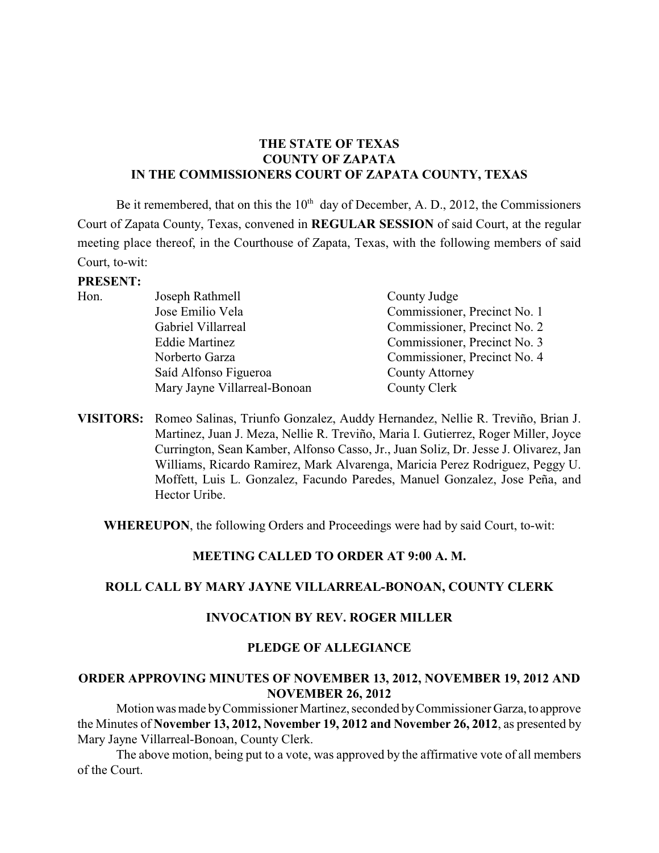# **THE STATE OF TEXAS COUNTY OF ZAPATA IN THE COMMISSIONERS COURT OF ZAPATA COUNTY, TEXAS**

Be it remembered, that on this the  $10<sup>th</sup>$  day of December, A. D., 2012, the Commissioners Court of Zapata County, Texas, convened in **REGULAR SESSION** of said Court, at the regular meeting place thereof, in the Courthouse of Zapata, Texas, with the following members of said Court, to-wit:

#### **PRESENT:**

| Hon. | Joseph Rathmell              | County Judge                 |
|------|------------------------------|------------------------------|
|      | Jose Emilio Vela             | Commissioner, Precinct No. 1 |
|      | Gabriel Villarreal           | Commissioner, Precinct No. 2 |
|      | <b>Eddie Martinez</b>        | Commissioner, Precinct No. 3 |
|      | Norberto Garza               | Commissioner, Precinct No. 4 |
|      | Saíd Alfonso Figueroa        | <b>County Attorney</b>       |
|      | Mary Jayne Villarreal-Bonoan | County Clerk                 |
|      |                              |                              |

**VISITORS:** Romeo Salinas, Triunfo Gonzalez, Auddy Hernandez, Nellie R. Treviño, Brian J. Martinez, Juan J. Meza, Nellie R. Treviño, Maria I. Gutierrez, Roger Miller, Joyce Currington, Sean Kamber, Alfonso Casso, Jr., Juan Soliz, Dr. Jesse J. Olivarez, Jan Williams, Ricardo Ramirez, Mark Alvarenga, Maricia Perez Rodriguez, Peggy U. Moffett, Luis L. Gonzalez, Facundo Paredes, Manuel Gonzalez, Jose Peña, and Hector Uribe.

**WHEREUPON**, the following Orders and Proceedings were had by said Court, to-wit:

### **MEETING CALLED TO ORDER AT 9:00 A. M.**

### **ROLL CALL BY MARY JAYNE VILLARREAL-BONOAN, COUNTY CLERK**

### **INVOCATION BY REV. ROGER MILLER**

### **PLEDGE OF ALLEGIANCE**

#### **ORDER APPROVING MINUTES OF NOVEMBER 13, 2012, NOVEMBER 19, 2012 AND NOVEMBER 26, 2012**

Motion was made by Commissioner Martinez, seconded by Commissioner Garza, to approve the Minutes of **November 13, 2012, November 19, 2012 and November 26, 2012**, as presented by Mary Jayne Villarreal-Bonoan, County Clerk.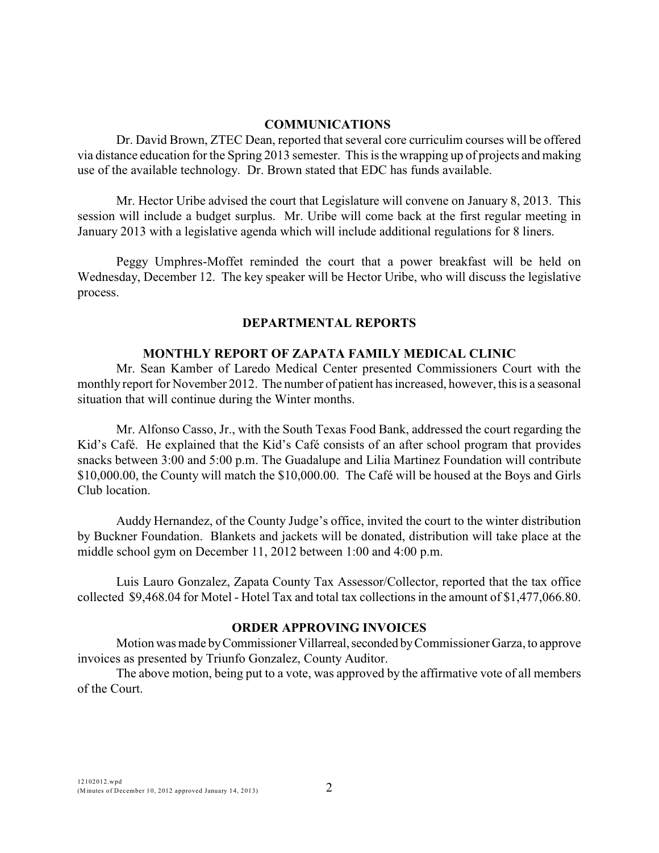### **COMMUNICATIONS**

Dr. David Brown, ZTEC Dean, reported that several core curriculim courses will be offered via distance education for the Spring 2013 semester. This is the wrapping up of projects and making use of the available technology. Dr. Brown stated that EDC has funds available.

Mr. Hector Uribe advised the court that Legislature will convene on January 8, 2013. This session will include a budget surplus. Mr. Uribe will come back at the first regular meeting in January 2013 with a legislative agenda which will include additional regulations for 8 liners.

Peggy Umphres-Moffet reminded the court that a power breakfast will be held on Wednesday, December 12. The key speaker will be Hector Uribe, who will discuss the legislative process.

## **DEPARTMENTAL REPORTS**

### **MONTHLY REPORT OF ZAPATA FAMILY MEDICAL CLINIC**

Mr. Sean Kamber of Laredo Medical Center presented Commissioners Court with the monthly report for November 2012. The number of patient has increased, however, this is a seasonal situation that will continue during the Winter months.

Mr. Alfonso Casso, Jr., with the South Texas Food Bank, addressed the court regarding the Kid's Café. He explained that the Kid's Café consists of an after school program that provides snacks between 3:00 and 5:00 p.m. The Guadalupe and Lilia Martinez Foundation will contribute \$10,000.00, the County will match the \$10,000.00. The Café will be housed at the Boys and Girls Club location.

Auddy Hernandez, of the County Judge's office, invited the court to the winter distribution by Buckner Foundation. Blankets and jackets will be donated, distribution will take place at the middle school gym on December 11, 2012 between 1:00 and 4:00 p.m.

Luis Lauro Gonzalez, Zapata County Tax Assessor/Collector, reported that the tax office collected \$9,468.04 for Motel - Hotel Tax and total tax collections in the amount of \$1,477,066.80.

### **ORDER APPROVING INVOICES**

Motion was made by Commissioner Villarreal, seconded by Commissioner Garza, to approve invoices as presented by Triunfo Gonzalez, County Auditor.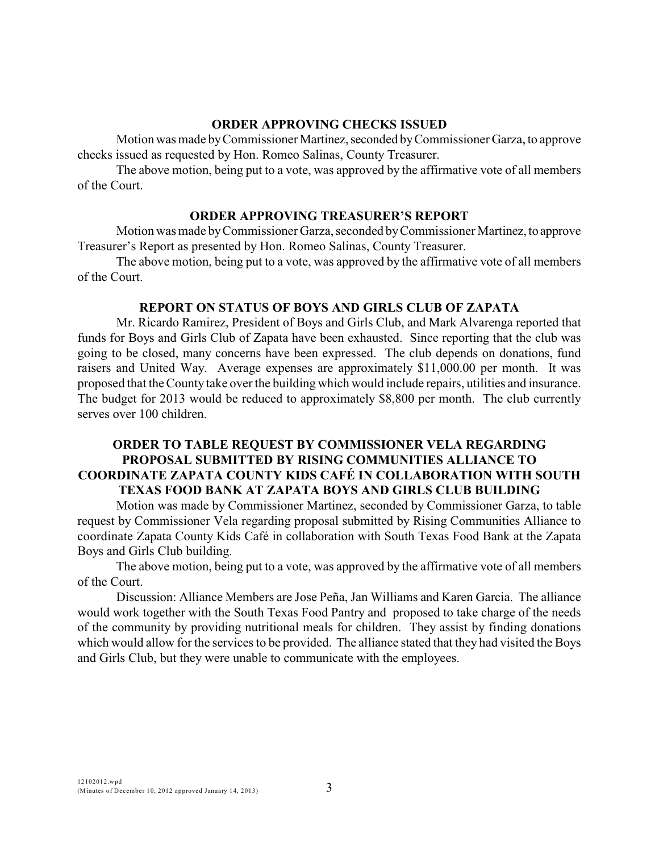### **ORDER APPROVING CHECKS ISSUED**

Motion was made by Commissioner Martinez, seconded by Commissioner Garza, to approve checks issued as requested by Hon. Romeo Salinas, County Treasurer.

The above motion, being put to a vote, was approved by the affirmative vote of all members of the Court.

#### **ORDER APPROVING TREASURER'S REPORT**

Motion was made by Commissioner Garza, seconded by Commissioner Martinez, to approve Treasurer's Report as presented by Hon. Romeo Salinas, County Treasurer.

The above motion, being put to a vote, was approved by the affirmative vote of all members of the Court.

#### **REPORT ON STATUS OF BOYS AND GIRLS CLUB OF ZAPATA**

Mr. Ricardo Ramirez, President of Boys and Girls Club, and Mark Alvarenga reported that funds for Boys and Girls Club of Zapata have been exhausted. Since reporting that the club was going to be closed, many concerns have been expressed. The club depends on donations, fund raisers and United Way. Average expenses are approximately \$11,000.00 per month. It was proposed that the County take over the building which would include repairs, utilities and insurance. The budget for 2013 would be reduced to approximately \$8,800 per month. The club currently serves over 100 children.

# **ORDER TO TABLE REQUEST BY COMMISSIONER VELA REGARDING PROPOSAL SUBMITTED BY RISING COMMUNITIES ALLIANCE TO COORDINATE ZAPATA COUNTY KIDS CAFÉ IN COLLABORATION WITH SOUTH TEXAS FOOD BANK AT ZAPATA BOYS AND GIRLS CLUB BUILDING**

Motion was made by Commissioner Martinez, seconded by Commissioner Garza, to table request by Commissioner Vela regarding proposal submitted by Rising Communities Alliance to coordinate Zapata County Kids Café in collaboration with South Texas Food Bank at the Zapata Boys and Girls Club building.

The above motion, being put to a vote, was approved by the affirmative vote of all members of the Court.

Discussion: Alliance Members are Jose Peña, Jan Williams and Karen Garcia. The alliance would work together with the South Texas Food Pantry and proposed to take charge of the needs of the community by providing nutritional meals for children. They assist by finding donations which would allow for the services to be provided. The alliance stated that they had visited the Boys and Girls Club, but they were unable to communicate with the employees.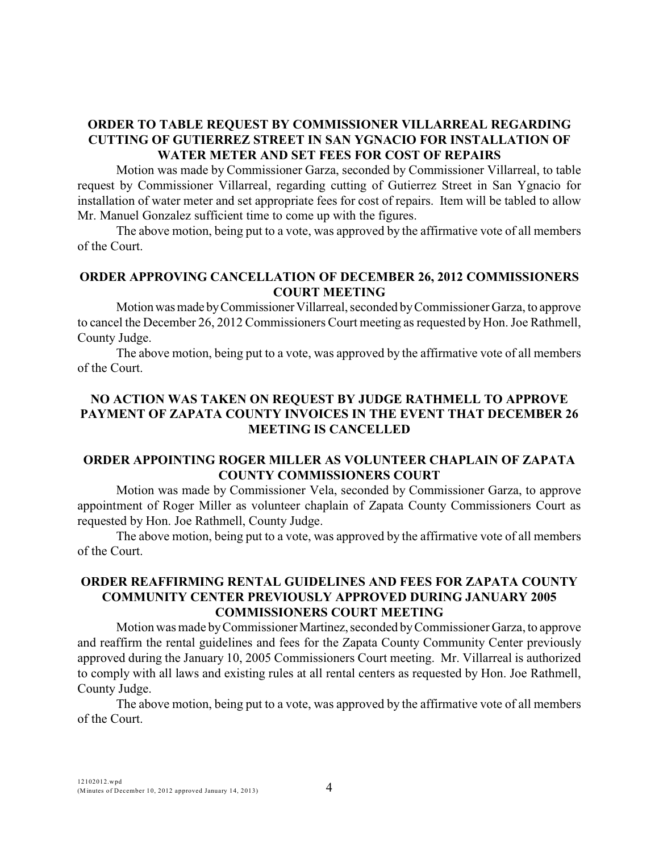# **ORDER TO TABLE REQUEST BY COMMISSIONER VILLARREAL REGARDING CUTTING OF GUTIERREZ STREET IN SAN YGNACIO FOR INSTALLATION OF WATER METER AND SET FEES FOR COST OF REPAIRS**

Motion was made by Commissioner Garza, seconded by Commissioner Villarreal, to table request by Commissioner Villarreal, regarding cutting of Gutierrez Street in San Ygnacio for installation of water meter and set appropriate fees for cost of repairs. Item will be tabled to allow Mr. Manuel Gonzalez sufficient time to come up with the figures.

The above motion, being put to a vote, was approved by the affirmative vote of all members of the Court.

## **ORDER APPROVING CANCELLATION OF DECEMBER 26, 2012 COMMISSIONERS COURT MEETING**

Motion was made by Commissioner Villarreal, seconded by Commissioner Garza, to approve to cancel the December 26, 2012 Commissioners Court meeting as requested by Hon. Joe Rathmell, County Judge.

The above motion, being put to a vote, was approved by the affirmative vote of all members of the Court.

# **NO ACTION WAS TAKEN ON REQUEST BY JUDGE RATHMELL TO APPROVE PAYMENT OF ZAPATA COUNTY INVOICES IN THE EVENT THAT DECEMBER 26 MEETING IS CANCELLED**

# **ORDER APPOINTING ROGER MILLER AS VOLUNTEER CHAPLAIN OF ZAPATA COUNTY COMMISSIONERS COURT**

Motion was made by Commissioner Vela, seconded by Commissioner Garza, to approve appointment of Roger Miller as volunteer chaplain of Zapata County Commissioners Court as requested by Hon. Joe Rathmell, County Judge.

The above motion, being put to a vote, was approved by the affirmative vote of all members of the Court.

## **ORDER REAFFIRMING RENTAL GUIDELINES AND FEES FOR ZAPATA COUNTY COMMUNITY CENTER PREVIOUSLY APPROVED DURING JANUARY 2005 COMMISSIONERS COURT MEETING**

Motion was made by Commissioner Martinez, seconded by Commissioner Garza, to approve and reaffirm the rental guidelines and fees for the Zapata County Community Center previously approved during the January 10, 2005 Commissioners Court meeting. Mr. Villarreal is authorized to comply with all laws and existing rules at all rental centers as requested by Hon. Joe Rathmell, County Judge.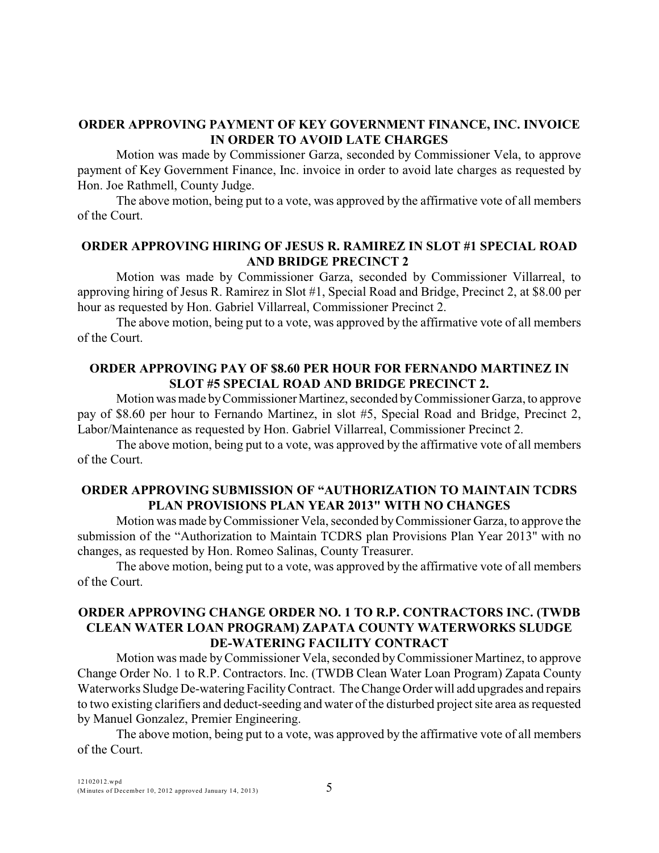## **ORDER APPROVING PAYMENT OF KEY GOVERNMENT FINANCE, INC. INVOICE IN ORDER TO AVOID LATE CHARGES**

Motion was made by Commissioner Garza, seconded by Commissioner Vela, to approve payment of Key Government Finance, Inc. invoice in order to avoid late charges as requested by Hon. Joe Rathmell, County Judge.

The above motion, being put to a vote, was approved by the affirmative vote of all members of the Court.

## **ORDER APPROVING HIRING OF JESUS R. RAMIREZ IN SLOT #1 SPECIAL ROAD AND BRIDGE PRECINCT 2**

Motion was made by Commissioner Garza, seconded by Commissioner Villarreal, to approving hiring of Jesus R. Ramirez in Slot #1, Special Road and Bridge, Precinct 2, at \$8.00 per hour as requested by Hon. Gabriel Villarreal, Commissioner Precinct 2.

The above motion, being put to a vote, was approved by the affirmative vote of all members of the Court.

## **ORDER APPROVING PAY OF \$8.60 PER HOUR FOR FERNANDO MARTINEZ IN SLOT #5 SPECIAL ROAD AND BRIDGE PRECINCT 2.**

Motion was made by Commissioner Martinez, seconded by Commissioner Garza, to approve pay of \$8.60 per hour to Fernando Martinez, in slot #5, Special Road and Bridge, Precinct 2, Labor/Maintenance as requested by Hon. Gabriel Villarreal, Commissioner Precinct 2.

The above motion, being put to a vote, was approved by the affirmative vote of all members of the Court.

# **ORDER APPROVING SUBMISSION OF "AUTHORIZATION TO MAINTAIN TCDRS PLAN PROVISIONS PLAN YEAR 2013" WITH NO CHANGES**

Motion was made by Commissioner Vela, seconded by Commissioner Garza, to approve the submission of the "Authorization to Maintain TCDRS plan Provisions Plan Year 2013" with no changes, as requested by Hon. Romeo Salinas, County Treasurer.

The above motion, being put to a vote, was approved by the affirmative vote of all members of the Court.

# **ORDER APPROVING CHANGE ORDER NO. 1 TO R.P. CONTRACTORS INC. (TWDB CLEAN WATER LOAN PROGRAM) ZAPATA COUNTY WATERWORKS SLUDGE DE-WATERING FACILITY CONTRACT**

Motion was made by Commissioner Vela, seconded byCommissioner Martinez, to approve Change Order No. 1 to R.P. Contractors. Inc. (TWDB Clean Water Loan Program) Zapata County Waterworks Sludge De-watering Facility Contract. TheChange Order will add upgrades and repairs to two existing clarifiers and deduct-seeding and water of the disturbed project site area as requested by Manuel Gonzalez, Premier Engineering.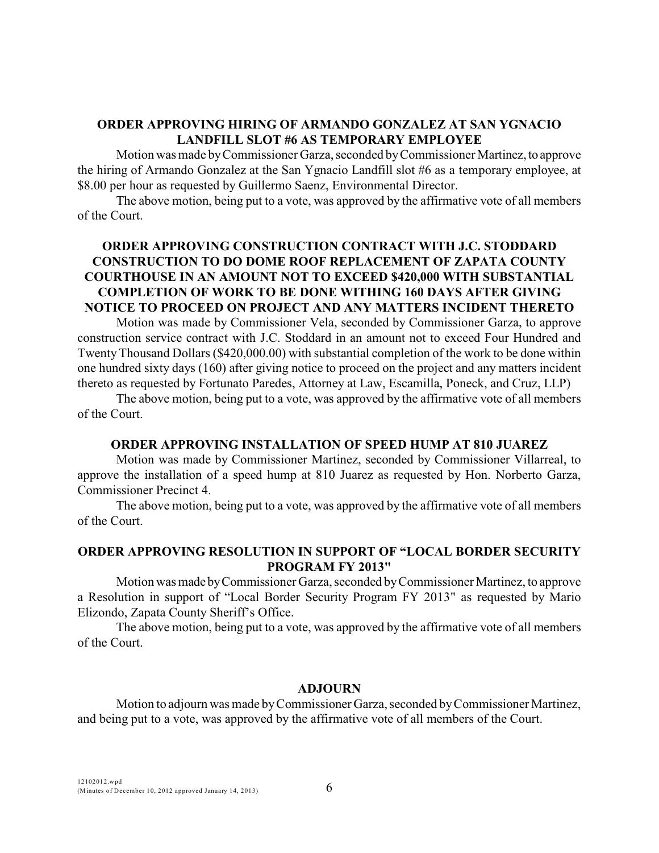# **ORDER APPROVING HIRING OF ARMANDO GONZALEZ AT SAN YGNACIO LANDFILL SLOT #6 AS TEMPORARY EMPLOYEE**

Motion was made by Commissioner Garza, seconded by Commissioner Martinez, to approve the hiring of Armando Gonzalez at the San Ygnacio Landfill slot #6 as a temporary employee, at \$8.00 per hour as requested by Guillermo Saenz, Environmental Director.

The above motion, being put to a vote, was approved by the affirmative vote of all members of the Court.

# **ORDER APPROVING CONSTRUCTION CONTRACT WITH J.C. STODDARD CONSTRUCTION TO DO DOME ROOF REPLACEMENT OF ZAPATA COUNTY COURTHOUSE IN AN AMOUNT NOT TO EXCEED \$420,000 WITH SUBSTANTIAL COMPLETION OF WORK TO BE DONE WITHING 160 DAYS AFTER GIVING NOTICE TO PROCEED ON PROJECT AND ANY MATTERS INCIDENT THERETO**

Motion was made by Commissioner Vela, seconded by Commissioner Garza, to approve construction service contract with J.C. Stoddard in an amount not to exceed Four Hundred and Twenty Thousand Dollars(\$420,000.00) with substantial completion of the work to be done within one hundred sixty days (160) after giving notice to proceed on the project and any matters incident thereto as requested by Fortunato Paredes, Attorney at Law, Escamilla, Poneck, and Cruz, LLP)

The above motion, being put to a vote, was approved by the affirmative vote of all members of the Court.

### **ORDER APPROVING INSTALLATION OF SPEED HUMP AT 810 JUAREZ**

Motion was made by Commissioner Martinez, seconded by Commissioner Villarreal, to approve the installation of a speed hump at 810 Juarez as requested by Hon. Norberto Garza, Commissioner Precinct 4.

The above motion, being put to a vote, was approved by the affirmative vote of all members of the Court.

## **ORDER APPROVING RESOLUTION IN SUPPORT OF "LOCAL BORDER SECURITY PROGRAM FY 2013"**

Motion was made by Commissioner Garza, seconded by Commissioner Martinez, to approve a Resolution in support of "Local Border Security Program FY 2013" as requested by Mario Elizondo, Zapata County Sheriff's Office.

The above motion, being put to a vote, was approved by the affirmative vote of all members of the Court.

#### **ADJOURN**

Motion to adjourn was made byCommissioner Garza, seconded by Commissioner Martinez, and being put to a vote, was approved by the affirmative vote of all members of the Court.